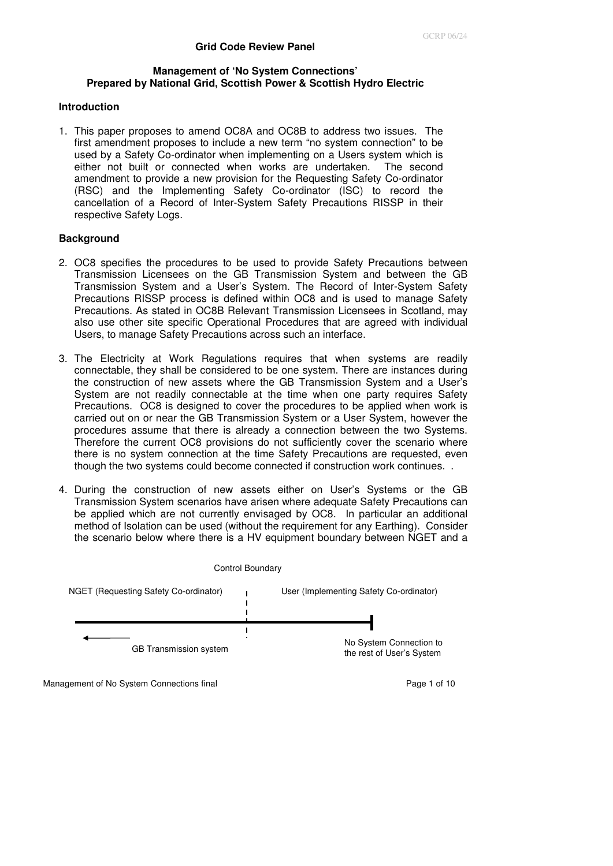### **Management of 'No System Connections' Prepared by National Grid, Scottish Power & Scottish Hydro Electric**

## **Introduction**

1. This paper proposes to amend OC8A and OC8B to address two issues. The first amendment proposes to include a new term "no system connection" to be used by a Safety Co-ordinator when implementing on a Users system which is either not built or connected when works are undertaken. The second amendment to provide a new provision for the Requesting Safety Co-ordinator (RSC) and the Implementing Safety Co-ordinator (ISC) to record the cancellation of a Record of Inter-System Safety Precautions RISSP in their respective Safety Logs.

#### **Background**

- 2. OC8 specifies the procedures to be used to provide Safety Precautions between Transmission Licensees on the GB Transmission System and between the GB Transmission System and a User's System. The Record of Inter-System Safety Precautions RISSP process is defined within OC8 and is used to manage Safety Precautions. As stated in OC8B Relevant Transmission Licensees in Scotland, may also use other site specific Operational Procedures that are agreed with individual Users, to manage Safety Precautions across such an interface.
- 3. The Electricity at Work Regulations requires that when systems are readily connectable, they shall be considered to be one system. There are instances during the construction of new assets where the GB Transmission System and a User's System are not readily connectable at the time when one party requires Safety Precautions. OC8 is designed to cover the procedures to be applied when work is carried out on or near the GB Transmission System or a User System, however the procedures assume that there is already a connection between the two Systems. Therefore the current OC8 provisions do not sufficiently cover the scenario where there is no system connection at the time Safety Precautions are requested, even though the two systems could become connected if construction work continues. .
- 4. During the construction of new assets either on User's Systems or the GB Transmission System scenarios have arisen where adequate Safety Precautions can be applied which are not currently envisaged by OC8. In particular an additional method of Isolation can be used (without the requirement for any Earthing). Consider the scenario below where there is a HV equipment boundary between NGET and a



Management of No System Connections final example 20 and 20 and 20 and 20 and 20 and 20 and 20 and 20 and 20 and 20 and 20 and 20 and 20 and 20 and 20 and 20 and 20 and 20 and 20 and 20 and 20 and 20 and 20 and 20 and 20 a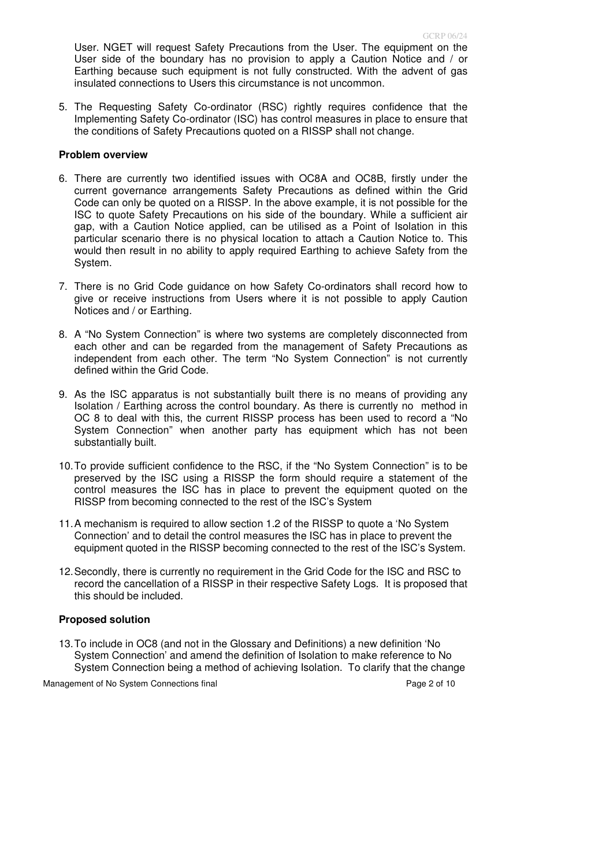User. NGET will request Safety Precautions from the User. The equipment on the User side of the boundary has no provision to apply a Caution Notice and / or Earthing because such equipment is not fully constructed. With the advent of gas insulated connections to Users this circumstance is not uncommon.

5. The Requesting Safety Co-ordinator (RSC) rightly requires confidence that the Implementing Safety Co-ordinator (ISC) has control measures in place to ensure that the conditions of Safety Precautions quoted on a RISSP shall not change.

#### **Problem overview**

- 6. There are currently two identified issues with OC8A and OC8B, firstly under the current governance arrangements Safety Precautions as defined within the Grid Code can only be quoted on a RISSP. In the above example, it is not possible for the ISC to quote Safety Precautions on his side of the boundary. While a sufficient air gap, with a Caution Notice applied, can be utilised as a Point of Isolation in this particular scenario there is no physical location to attach a Caution Notice to. This would then result in no ability to apply required Earthing to achieve Safety from the System.
- 7. There is no Grid Code guidance on how Safety Co-ordinators shall record how to give or receive instructions from Users where it is not possible to apply Caution Notices and / or Earthing.
- 8. A "No System Connection" is where two systems are completely disconnected from each other and can be regarded from the management of Safety Precautions as independent from each other. The term "No System Connection" is not currently defined within the Grid Code.
- 9. As the ISC apparatus is not substantially built there is no means of providing any Isolation / Earthing across the control boundary. As there is currently no method in OC 8 to deal with this, the current RISSP process has been used to record a "No System Connection" when another party has equipment which has not been substantially built.
- 10. To provide sufficient confidence to the RSC, if the "No System Connection" is to be preserved by the ISC using a RISSP the form should require a statement of the control measures the ISC has in place to prevent the equipment quoted on the RISSP from becoming connected to the rest of the ISC's System
- 11. A mechanism is required to allow section 1.2 of the RISSP to quote a 'No System Connection' and to detail the control measures the ISC has in place to prevent the equipment quoted in the RISSP becoming connected to the rest of the ISC's System.
- 12. Secondly, there is currently no requirement in the Grid Code for the ISC and RSC to record the cancellation of a RISSP in their respective Safety Logs. It is proposed that this should be included.

### **Proposed solution**

13. To include in OC8 (and not in the Glossary and Definitions) a new definition 'No System Connection' and amend the definition of Isolation to make reference to No System Connection being a method of achieving Isolation. To clarify that the change

Management of No System Connections final example 2 of 10 Page 2 of 10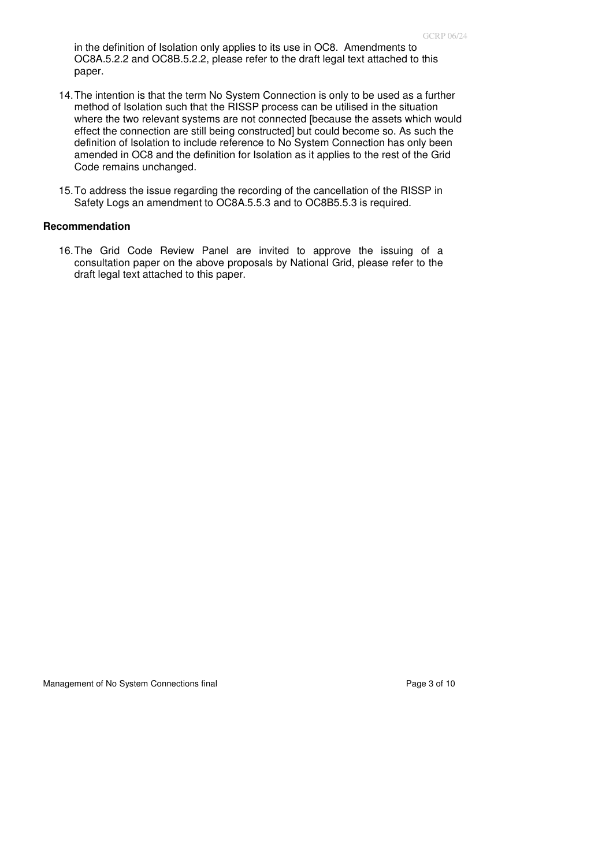in the definition of Isolation only applies to its use in OC8. Amendments to OC8A.5.2.2 and OC8B.5.2.2, please refer to the draft legal text attached to this paper.

- 14. The intention is that the term No System Connection is only to be used as a further method of Isolation such that the RISSP process can be utilised in the situation where the two relevant systems are not connected [because the assets which would effect the connection are still being constructed] but could become so. As such the definition of Isolation to include reference to No System Connection has only been amended in OC8 and the definition for Isolation as it applies to the rest of the Grid Code remains unchanged.
- 15. To address the issue regarding the recording of the cancellation of the RISSP in Safety Logs an amendment to OC8A.5.5.3 and to OC8B5.5.3 is required.

### **Recommendation**

16. The Grid Code Review Panel are invited to approve the issuing of a consultation paper on the above proposals by National Grid, please refer to the draft legal text attached to this paper.

Management of No System Connections final example 3 of 10 and Page 3 of 10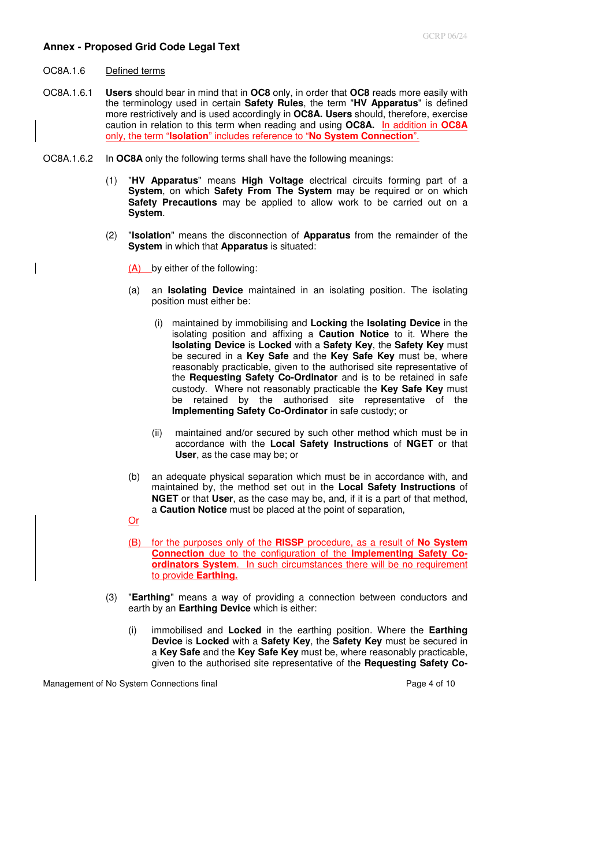#### **Annex - Proposed Grid Code Legal Text**

- OC8A.1.6 Defined terms
- OC8A.1.6.1 **Users** should bear in mind that in **OC8** only, in order that **OC8** reads more easily with the terminology used in certain **Safety Rules**, the term "**HV Apparatus**" is defined more restrictively and is used accordingly in **OC8A. Users** should, therefore, exercise caution in relation to this term when reading and using **OC8A.** In addition in **OC8A** only, the term "**Isolation**" includes reference to "**No System Connection**".
- OC8A.1.6.2 In **OC8A** only the following terms shall have the following meanings:
	- (1) "**HV Apparatus**" means **High Voltage** electrical circuits forming part of a **System**, on which **Safety From The System** may be required or on which **Safety Precautions** may be applied to allow work to be carried out on a **System**.
	- (2) "**Isolation**" means the disconnection of **Apparatus** from the remainder of the **System** in which that **Apparatus** is situated:
		- (A) by either of the following:
		- (a) an **Isolating Device** maintained in an isolating position. The isolating position must either be:
			- (i) maintained by immobilising and **Locking** the **Isolating Device** in the isolating position and affixing a **Caution Notice** to it. Where the **Isolating Device** is **Locked** with a **Safety Key**, the **Safety Key** must be secured in a **Key Safe** and the **Key Safe Key** must be, where reasonably practicable, given to the authorised site representative of the **Requesting Safety Co-Ordinator** and is to be retained in safe custody. Where not reasonably practicable the **Key Safe Key** must be retained by the authorised site representative of the **Implementing Safety Co-Ordinator** in safe custody; or
			- (ii) maintained and/or secured by such other method which must be in accordance with the **Local Safety Instructions** of **NGET** or that **User**, as the case may be; or
		- (b) an adequate physical separation which must be in accordance with, and maintained by, the method set out in the **Local Safety Instructions** of **NGET** or that **User**, as the case may be, and, if it is a part of that method, a **Caution Notice** must be placed at the point of separation,
		- Or
		- (B) for the purposes only of the **RISSP** procedure, as a result of **No System Connection** due to the configuration of the **Implementing Safety Coordinators System.** In such circumstances there will be no requirement to provide **Earthing.**
	- (3) "**Earthing**" means a way of providing a connection between conductors and earth by an **Earthing Device** which is either:
		- (i) immobilised and **Locked** in the earthing position. Where the **Earthing Device** is **Locked** with a **Safety Key**, the **Safety Key** must be secured in a **Key Safe** and the **Key Safe Key** must be, where reasonably practicable, given to the authorised site representative of the **Requesting Safety Co-**

Management of No System Connections final example 2 and the example 2 and the Page 4 of 10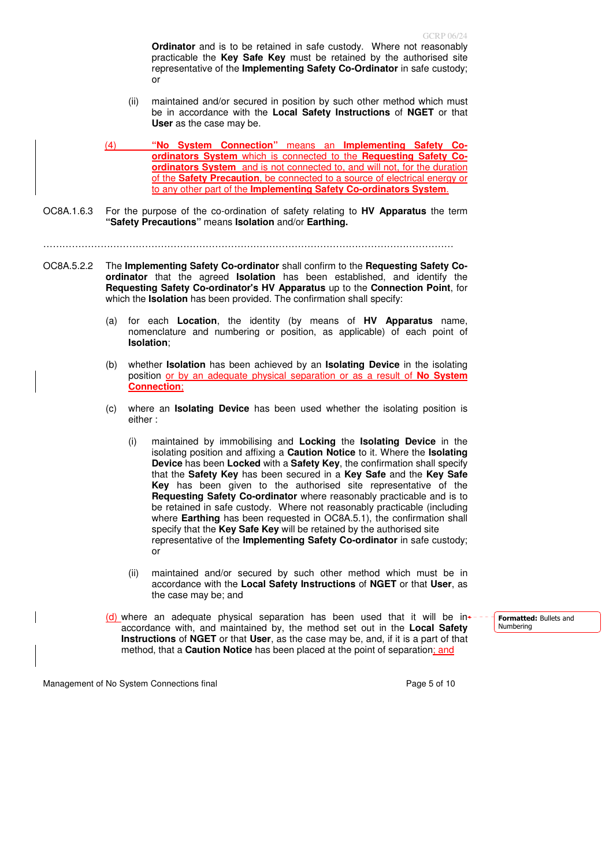**Ordinator** and is to be retained in safe custody. Where not reasonably practicable the **Key Safe Key** must be retained by the authorised site representative of the **Implementing Safety Co-Ordinator** in safe custody; or

- (ii) maintained and/or secured in position by such other method which must be in accordance with the **Local Safety Instructions** of **NGET** or that **User** as the case may be.
- (4) **"No System Connection"** means an **Implementing Safety Coordinators System** which is connected to the **Requesting Safety Coordinators System** and is not connected to, and will not, for the duration of the **Safety Precaution**, be connected to a source of electrical energy or to any other part of the **Implementing Safety Co-ordinators System**.
- OC8A.1.6.3 For the purpose of the co-ordination of safety relating to **HV Apparatus** the term **"Safety Precautions"** means **Isolation** and/or **Earthing.**

…………………………………………………………………………………………………………………

- OC8A.5.2.2 The **Implementing Safety Co-ordinator** shall confirm to the **Requesting Safety Coordinator** that the agreed **Isolation** has been established, and identify the **Requesting Safety Co-ordinator's HV Apparatus** up to the **Connection Point**, for which the **Isolation** has been provided. The confirmation shall specify:
	- (a) for each **Location**, the identity (by means of **HV Apparatus** name, nomenclature and numbering or position, as applicable) of each point of **Isolation**;
	- (b) whether **Isolation** has been achieved by an **Isolating Device** in the isolating position or by an adequate physical separation or as a result of **No System Connection**;
	- (c) where an **Isolating Device** has been used whether the isolating position is either :
		- (i) maintained by immobilising and **Locking** the **Isolating Device** in the isolating position and affixing a **Caution Notice** to it. Where the **Isolating Device** has been **Locked** with a **Safety Key**, the confirmation shall specify that the **Safety Key** has been secured in a **Key Safe** and the **Key Safe Key** has been given to the authorised site representative of the **Requesting Safety Co-ordinator** where reasonably practicable and is to be retained in safe custody. Where not reasonably practicable (including where **Earthing** has been requested in OC8A.5.1), the confirmation shall specify that the **Key Safe Key** will be retained by the authorised site representative of the **Implementing Safety Co-ordinator** in safe custody; or
		- (ii) maintained and/or secured by such other method which must be in accordance with the **Local Safety Instructions** of **NGET** or that **User**, as the case may be; and
	- (d) where an adequate physical separation has been used that it will be in $\cdot$ accordance with, and maintained by, the method set out in the **Local Safety Instructions** of **NGET** or that **User**, as the case may be, and, if it is a part of that method, that a **Caution Notice** has been placed at the point of separation; and

Management of No System Connections final example 3 and 20 years of 10 years and Page 5 of 10

Formatted: Bullets and Numbering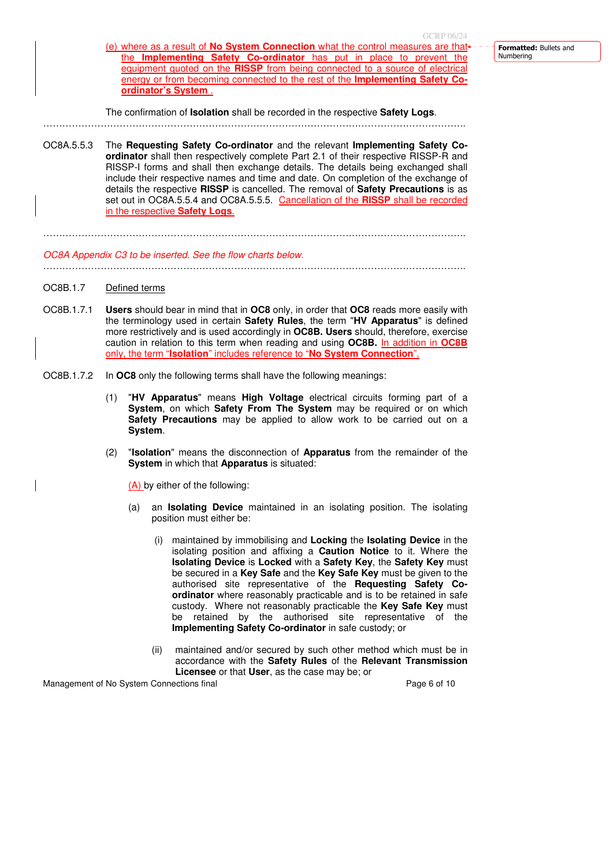- Formatted: Bullets and Numbering
- (e) where as a result of **No System Connection** what the control measures are that the **Implementing Safety Co-ordinator** has put in place to prevent the equipment quoted on the **RISSP** from being connected to a source of electrical energy or from becoming connected to the rest of the **Implementing Safety Coordinator's System** .

The confirmation of **Isolation** shall be recorded in the respective **Safety Logs**.

OC8A.5.5.3 The **Requesting Safety Co-ordinator** and the relevant **Implementing Safety Coordinator** shall then respectively complete Part 2.1 of their respective RISSP-R and RISSP-I forms and shall then exchange details. The details being exchanged shall include their respective names and time and date. On completion of the exchange of details the respective **RISSP** is cancelled. The removal of **Safety Precautions** is as set out in OC8A.5.5.4 and OC8A.5.5.5. Cancellation of the **RISSP** shall be recorded in the respective **Safety Logs**.

…………………………………………………………………………………………………………………….

OC8A Appendix C3 to be inserted. See the flow charts below.

…………………………………………………………………………………………………………………….

. The contract of the contract of the contract of the contract of the contract of the contract of the contract of the contract of the contract of the contract of the contract of the contract of the contract of the contrac

- OC8B.1.7 Defined terms
- OC8B.1.7.1 **Users** should bear in mind that in **OC8** only, in order that **OC8** reads more easily with the terminology used in certain **Safety Rules**, the term "**HV Apparatus**" is defined more restrictively and is used accordingly in **OC8B. Users** should, therefore, exercise caution in relation to this term when reading and using **OC8B.** In addition in **OC8B** only, the term "**Isolation**" includes reference to "**No System Connection**".
- OC8B.1.7.2 In **OC8** only the following terms shall have the following meanings:
	- (1) "**HV Apparatus**" means **High Voltage** electrical circuits forming part of a **System**, on which **Safety From The System** may be required or on which **Safety Precautions** may be applied to allow work to be carried out on a **System**.
	- (2) "**Isolation**" means the disconnection of **Apparatus** from the remainder of the **System** in which that **Apparatus** is situated:

(A) by either of the following:

- (a) an **Isolating Device** maintained in an isolating position. The isolating position must either be:
	- (i) maintained by immobilising and **Locking** the **Isolating Device** in the isolating position and affixing a **Caution Notice** to it. Where the **Isolating Device** is **Locked** with a **Safety Key**, the **Safety Key** must be secured in a **Key Safe** and the **Key Safe Key** must be given to the authorised site representative of the **Requesting Safety Coordinator** where reasonably practicable and is to be retained in safe custody. Where not reasonably practicable the **Key Safe Key** must be retained by the authorised site representative of the **Implementing Safety Co-ordinator** in safe custody; or
	- (ii) maintained and/or secured by such other method which must be in accordance with the **Safety Rules** of the **Relevant Transmission Licensee** or that **User**, as the case may be; or

Management of No System Connections final example 20 and 20 and 20 and 20 and 20 and 20 and 20 and 20 and 20 and 20 and 20 and 20 and 20 and 20 and 20 and 20 and 20 and 20 and 20 and 20 and 20 and 20 and 20 and 20 and 20 a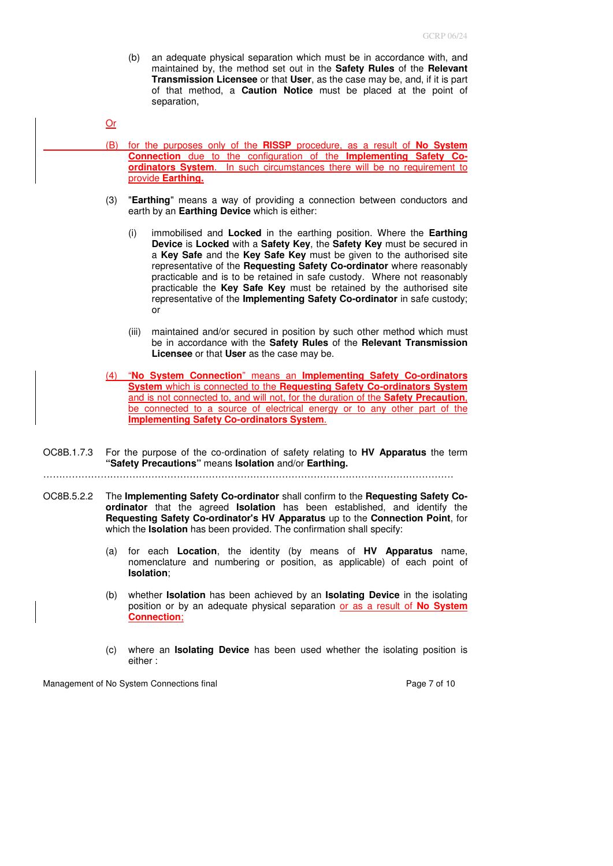(b) an adequate physical separation which must be in accordance with, and maintained by, the method set out in the **Safety Rules** of the **Relevant Transmission Licensee** or that **User**, as the case may be, and, if it is part of that method, a **Caution Notice** must be placed at the point of separation,

```
Or
```
- (B) for the purposes only of the **RISSP** procedure, as a result of **No System Connection** due to the configuration of the **Implementing Safety Coordinators System**. In such circumstances there will be no requirement to provide **Earthing.**
- (3) "**Earthing**" means a way of providing a connection between conductors and earth by an **Earthing Device** which is either:
	- (i) immobilised and **Locked** in the earthing position. Where the **Earthing Device** is **Locked** with a **Safety Key**, the **Safety Key** must be secured in a **Key Safe** and the **Key Safe Key** must be given to the authorised site representative of the **Requesting Safety Co-ordinator** where reasonably practicable and is to be retained in safe custody. Where not reasonably practicable the **Key Safe Key** must be retained by the authorised site representative of the **Implementing Safety Co-ordinator** in safe custody; or
	- (iii) maintained and/or secured in position by such other method which must be in accordance with the **Safety Rules** of the **Relevant Transmission Licensee** or that **User** as the case may be.
- (4) "**No System Connection**" means an **Implementing Safety Co-ordinators System** which is connected to the **Requesting Safety Co-ordinators System** and is not connected to, and will not, for the duration of the **Safety Precaution**, be connected to a source of electrical energy or to any other part of the **Implementing Safety Co-ordinators System**.
- OC8B.1.7.3 For the purpose of the co-ordination of safety relating to **HV Apparatus** the term **"Safety Precautions"** means **Isolation** and/or **Earthing.**
- …………………………………………………………………………………………………………………
- OC8B.5.2.2 The **Implementing Safety Co-ordinator** shall confirm to the **Requesting Safety Coordinator** that the agreed **Isolation** has been established, and identify the **Requesting Safety Co-ordinator's HV Apparatus** up to the **Connection Point**, for which the **Isolation** has been provided. The confirmation shall specify:
	- (a) for each **Location**, the identity (by means of **HV Apparatus** name, nomenclature and numbering or position, as applicable) of each point of **Isolation**;
	- (b) whether **Isolation** has been achieved by an **Isolating Device** in the isolating position or by an adequate physical separation or as a result of **No System Connection**;
	- (c) where an **Isolating Device** has been used whether the isolating position is either :

Management of No System Connections final example 2 and the Page 7 of 10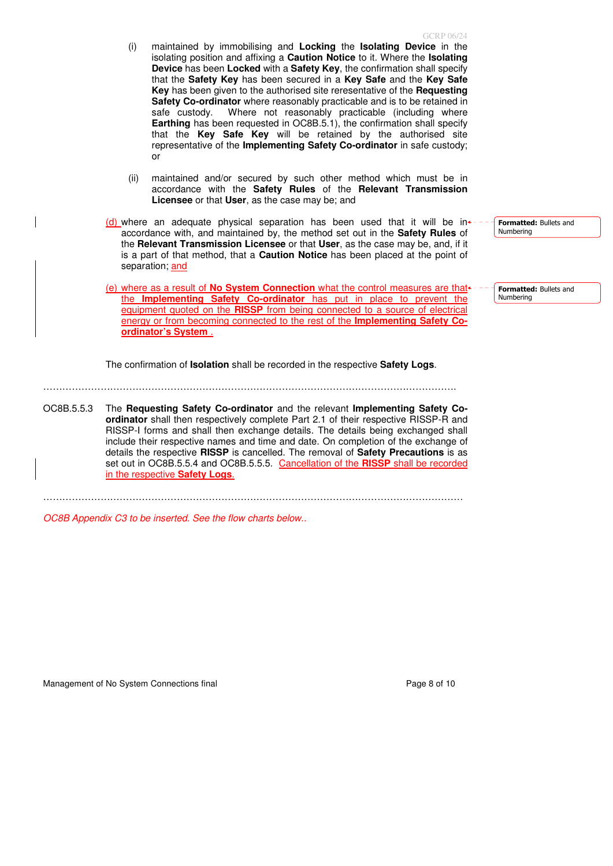- (i) maintained by immobilising and **Locking** the **Isolating Device** in the isolating position and affixing a **Caution Notice** to it. Where the **Isolating Device** has been **Locked** with a **Safety Key**, the confirmation shall specify that the **Safety Key** has been secured in a **Key Safe** and the **Key Safe Key** has been given to the authorised site reresentative of the **Requesting Safety Co-ordinator** where reasonably practicable and is to be retained in safe custody. Where not reasonably practicable (including where **Earthing** has been requested in OC8B.5.1), the confirmation shall specify that the **Key Safe Key** will be retained by the authorised site representative of the **Implementing Safety Co-ordinator** in safe custody; or
- (ii) maintained and/or secured by such other method which must be in accordance with the **Safety Rules** of the **Relevant Transmission Licensee** or that **User**, as the case may be; and
- $(d)$  where an adequate physical separation has been used that it will be in accordance with, and maintained by, the method set out in the **Safety Rules** of the **Relevant Transmission Licensee** or that **User**, as the case may be, and, if it is a part of that method, that a **Caution Notice** has been placed at the point of separation; and

(e) where as a result of **No System Connection** what the control measures are that the **Implementing Safety Co-ordinator** has put in place to prevent the equipment quoted on the **RISSP** from being connected to a source of electrical energy or from becoming connected to the rest of the **Implementing Safety Coordinator's System** .

The confirmation of **Isolation** shall be recorded in the respective **Safety Logs**.

OC8B.5.5.3 The **Requesting Safety Co-ordinator** and the relevant **Implementing Safety Coordinator** shall then respectively complete Part 2.1 of their respective RISSP-R and RISSP-I forms and shall then exchange details. The details being exchanged shall include their respective names and time and date. On completion of the exchange of details the respective **RISSP** is cancelled. The removal of **Safety Precautions** is as set out in OC8B.5.5.4 and OC8B.5.5.5. Cancellation of the **RISSP** shall be recorded in the respective **Safety Logs**.

……………………………………………………………………………………………………………………

………………………………………………………………………………………………………………….

OC8B Appendix C3 to be inserted. See the flow charts below..

Management of No System Connections final example 2 and the example 2 and Page 8 of 10

Formatted: Bullets and Numbering

Formatted: Bullets and Numbering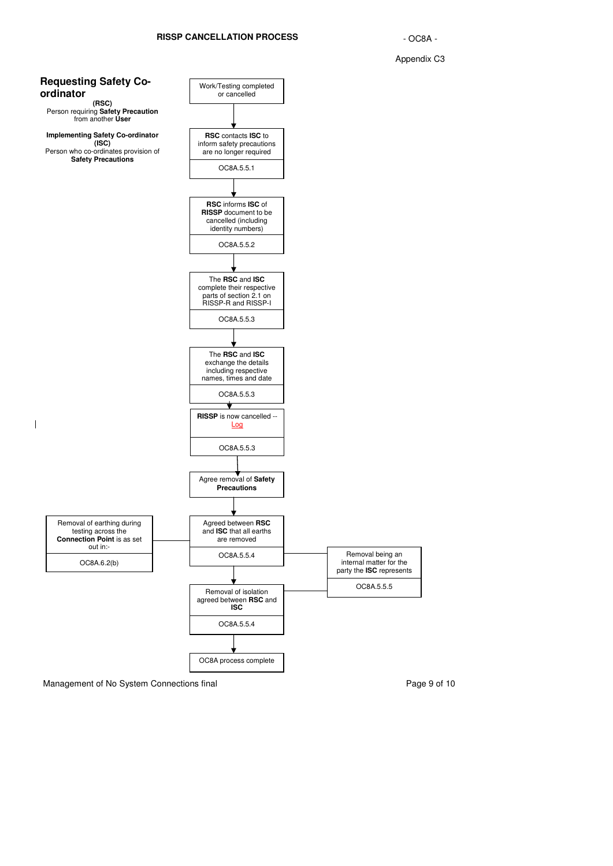



Management of No System Connections final example 20 and 20 and 20 and 20 and 20 and 20 and 20 and 20 and 20 and 20 and 20 and 20 and 20 and 20 and 20 and 20 and 20 and 20 and 20 and 20 and 20 and 20 and 20 and 20 and 20 a